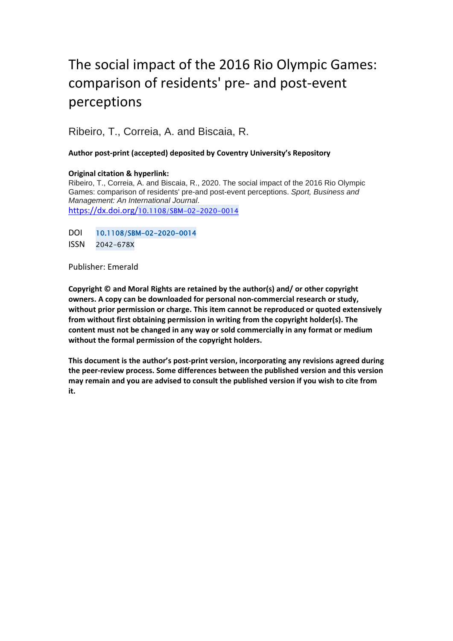# The social impact of the 2016 Rio Olympic Games: comparison of residents' pre- and post-event perceptions

Ribeiro, T., Correia, A. and Biscaia, R.

# **Author post-print (accepted) deposited by Coventry University's Repository**

# **Original citation & hyperlink:**

Ribeiro, T., Correia, A. and Biscaia, R., 2020. The social impact of the 2016 Rio Olympic Games: comparison of residents' pre-and post-event perceptions. *Sport, Business and Management: An International Journal*.

https://dx.doi.org/[10.1108/SBM-02-2020-0014](https://dx.doi.org/10.1108/SBM-02-2020-0014) 

DOI 10.1108/SBM-02-2020-0014

ISSN 2042-678X

Publisher: Emerald

**Copyright © and Moral Rights are retained by the author(s) and/ or other copyright owners. A copy can be downloaded for personal non-commercial research or study, without prior permission or charge. This item cannot be reproduced or quoted extensively from without first obtaining permission in writing from the copyright holder(s). The content must not be changed in any way or sold commercially in any format or medium without the formal permission of the copyright holders.** 

**This document is the author's post-print version, incorporating any revisions agreed during the peer-review process. Some differences between the published version and this version may remain and you are advised to consult the published version if you wish to cite from it.**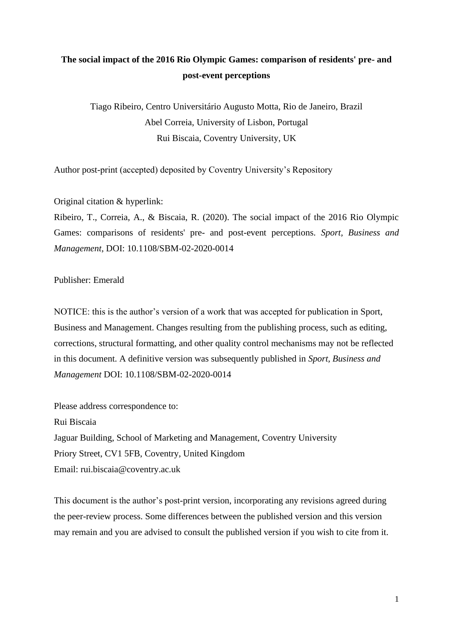# **The social impact of the 2016 Rio Olympic Games: comparison of residents' pre- and post-event perceptions**

Tiago Ribeiro, Centro Universitário Augusto Motta, Rio de Janeiro, Brazil Abel Correia, University of Lisbon, Portugal Rui Biscaia, Coventry University, UK

Author post-print (accepted) deposited by Coventry University's Repository

Original citation & hyperlink:

Ribeiro, T., Correia, A., & Biscaia, R. (2020). The social impact of the 2016 Rio Olympic Games: comparisons of residents' pre- and post-event perceptions. *Sport, Business and Management*, DOI: 10.1108/SBM-02-2020-0014

# Publisher: Emerald

NOTICE: this is the author's version of a work that was accepted for publication in Sport, Business and Management. Changes resulting from the publishing process, such as editing, corrections, structural formatting, and other quality control mechanisms may not be reflected in this document. A definitive version was subsequently published in *Sport, Business and Management* DOI: 10.1108/SBM-02-2020-0014

Please address correspondence to: Rui Biscaia Jaguar Building, School of Marketing and Management, Coventry University Priory Street, CV1 5FB, Coventry, United Kingdom Email: rui.biscaia@coventry.ac.uk

This document is the author's post-print version, incorporating any revisions agreed during the peer-review process. Some differences between the published version and this version may remain and you are advised to consult the published version if you wish to cite from it.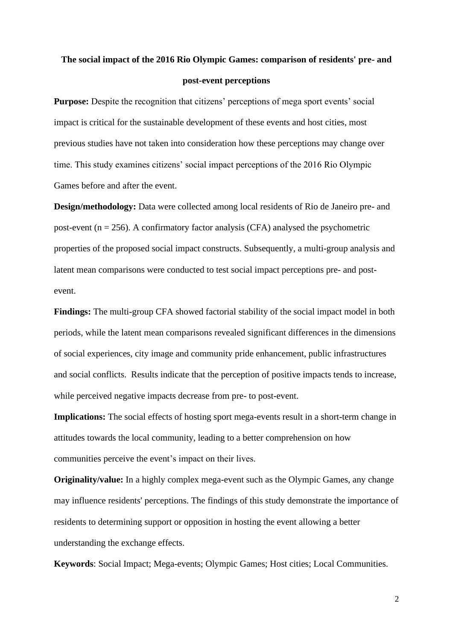# **The social impact of the 2016 Rio Olympic Games: comparison of residents' pre- and post-event perceptions**

**Purpose:** Despite the recognition that citizens' perceptions of mega sport events' social impact is critical for the sustainable development of these events and host cities, most previous studies have not taken into consideration how these perceptions may change over time. This study examines citizens' social impact perceptions of the 2016 Rio Olympic Games before and after the event.

**Design/methodology:** Data were collected among local residents of Rio de Janeiro pre- and post-event ( $n = 256$ ). A confirmatory factor analysis (CFA) analysed the psychometric properties of the proposed social impact constructs. Subsequently, a multi-group analysis and latent mean comparisons were conducted to test social impact perceptions pre- and postevent.

**Findings:** The multi-group CFA showed factorial stability of the social impact model in both periods, while the latent mean comparisons revealed significant differences in the dimensions of social experiences, city image and community pride enhancement, public infrastructures and social conflicts. Results indicate that the perception of positive impacts tends to increase, while perceived negative impacts decrease from pre- to post-event.

**Implications:** The social effects of hosting sport mega-events result in a short-term change in attitudes towards the local community, leading to a better comprehension on how communities perceive the event's impact on their lives.

**Originality/value:** In a highly complex mega-event such as the Olympic Games, any change may influence residents' perceptions. The findings of this study demonstrate the importance of residents to determining support or opposition in hosting the event allowing a better understanding the exchange effects.

**Keywords**: Social Impact; Mega-events; Olympic Games; Host cities; Local Communities.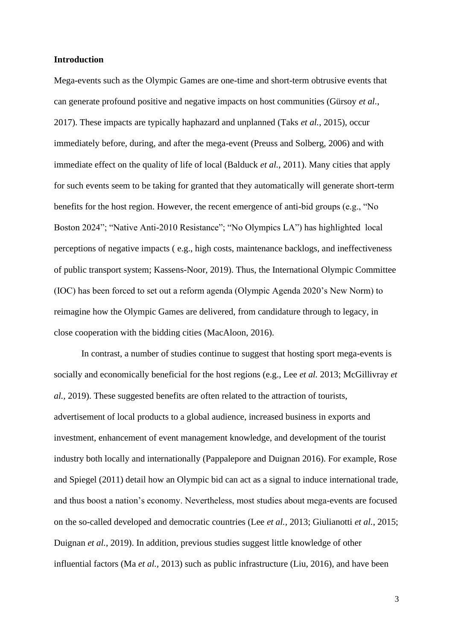#### **Introduction**

Mega-events such as the Olympic Games are one-time and short-term obtrusive events that can generate profound positive and negative impacts on host communities (Gürsoy *et al.*, 2017). These impacts are typically haphazard and unplanned (Taks *et al.*, 2015), occur immediately before, during, and after the mega-event (Preuss and Solberg, 2006) and with immediate effect on the quality of life of local (Balduck *et al.*, 2011). Many cities that apply for such events seem to be taking for granted that they automatically will generate short-term benefits for the host region. However, the recent emergence of anti-bid groups (e.g., "No Boston 2024"; "Native Anti-2010 Resistance"; "No Olympics LA") has highlighted local perceptions of negative impacts ( e.g., high costs, maintenance backlogs, and ineffectiveness of public transport system; Kassens-Noor, 2019). Thus, the International Olympic Committee (IOC) has been forced to set out a reform agenda (Olympic Agenda 2020's New Norm) to reimagine how the Olympic Games are delivered, from candidature through to legacy, in close cooperation with the bidding cities (MacAloon, 2016).

In contrast, a number of studies continue to suggest that hosting sport mega-events is socially and economically beneficial for the host regions (e.g., Lee *et al.* 2013; McGillivray *et al.,* 2019). These suggested benefits are often related to the attraction of tourists, advertisement of local products to a global audience, increased business in exports and investment, enhancement of event management knowledge, and development of the tourist industry both locally and internationally (Pappalepore and Duignan 2016). For example, Rose and Spiegel (2011) detail how an Olympic bid can act as a signal to induce international trade, and thus boost a nation's economy. Nevertheless, most studies about mega-events are focused on the so-called developed and democratic countries (Lee *et al.,* 2013; Giulianotti *et al.*, 2015; Duignan *et al.*, 2019). In addition, previous studies suggest little knowledge of other influential factors (Ma *et al.,* 2013) such as public infrastructure (Liu, 2016), and have been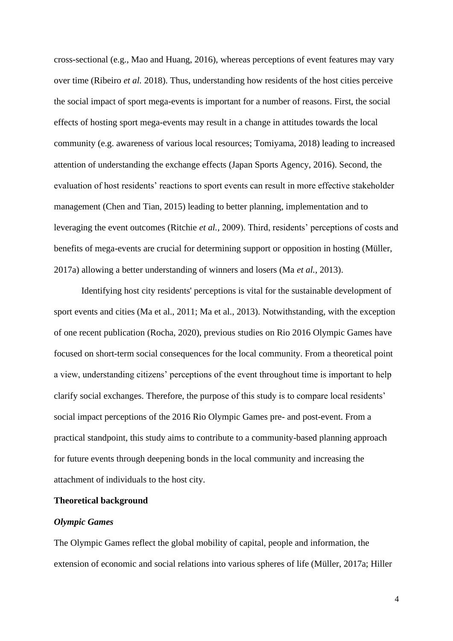cross-sectional (e.g., Mao and Huang, 2016), whereas perceptions of event features may vary over time (Ribeiro *et al.* 2018). Thus, understanding how residents of the host cities perceive the social impact of sport mega-events is important for a number of reasons. First, the social effects of hosting sport mega-events may result in a change in attitudes towards the local community (e.g. awareness of various local resources; Tomiyama, 2018) leading to increased attention of understanding the exchange effects (Japan Sports Agency, 2016). Second, the evaluation of host residents' reactions to sport events can result in more effective stakeholder management (Chen and Tian, 2015) leading to better planning, implementation and to leveraging the event outcomes (Ritchie *et al.,* 2009). Third, residents' perceptions of costs and benefits of mega-events are crucial for determining support or opposition in hosting (Müller, 2017a) allowing a better understanding of winners and losers (Ma *et al.,* 2013).

Identifying host city residents' perceptions is vital for the sustainable development of sport events and cities (Ma et al., 2011; Ma et al., 2013). Notwithstanding, with the exception of one recent publication (Rocha, 2020), previous studies on Rio 2016 Olympic Games have focused on short-term social consequences for the local community. From a theoretical point a view, understanding citizens' perceptions of the event throughout time is important to help clarify social exchanges. Therefore, the purpose of this study is to compare local residents' social impact perceptions of the 2016 Rio Olympic Games pre- and post-event. From a practical standpoint, this study aims to contribute to a community-based planning approach for future events through deepening bonds in the local community and increasing the attachment of individuals to the host city.

#### **Theoretical background**

#### *Olympic Games*

The Olympic Games reflect the global mobility of capital, people and information, the extension of economic and social relations into various spheres of life (Müller, 2017a; Hiller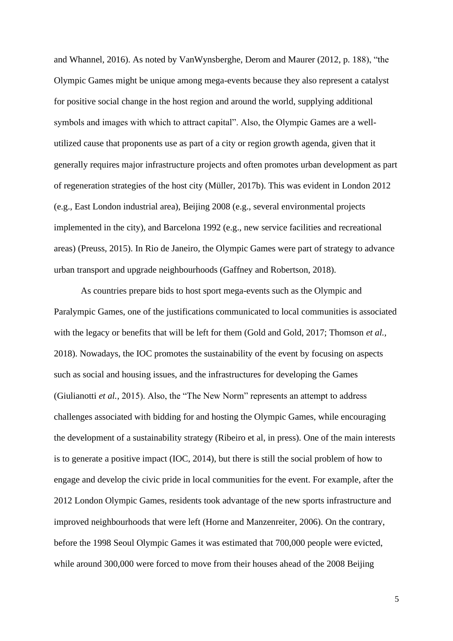and Whannel, 2016). As noted by VanWynsberghe, Derom and Maurer (2012, p. 188), "the Olympic Games might be unique among mega-events because they also represent a catalyst for positive social change in the host region and around the world, supplying additional symbols and images with which to attract capital". Also, the Olympic Games are a wellutilized cause that proponents use as part of a city or region growth agenda, given that it generally requires major infrastructure projects and often promotes urban development as part of regeneration strategies of the host city (Müller, 2017b). This was evident in London 2012 (e.g., East London industrial area), Beijing 2008 (e.g., several environmental projects implemented in the city), and Barcelona 1992 (e.g., new service facilities and recreational areas) (Preuss, 2015). In Rio de Janeiro, the Olympic Games were part of strategy to advance urban transport and upgrade neighbourhoods (Gaffney and Robertson, 2018).

As countries prepare bids to host sport mega-events such as the Olympic and Paralympic Games, one of the justifications communicated to local communities is associated with the legacy or benefits that will be left for them (Gold and Gold, 2017; Thomson *et al.,* 2018). Nowadays, the IOC promotes the sustainability of the event by focusing on aspects such as social and housing issues, and the infrastructures for developing the Games (Giulianotti *et al.,* 2015). Also, the "The New Norm" represents an attempt to address challenges associated with bidding for and hosting the Olympic Games, while encouraging the development of a sustainability strategy (Ribeiro et al, in press). One of the main interests is to generate a positive impact (IOC, 2014), but there is still the social problem of how to engage and develop the civic pride in local communities for the event. For example, after the 2012 London Olympic Games, residents took advantage of the new sports infrastructure and improved neighbourhoods that were left (Horne and Manzenreiter, 2006). On the contrary, before the 1998 Seoul Olympic Games it was estimated that 700,000 people were evicted, while around 300,000 were forced to move from their houses ahead of the 2008 Beijing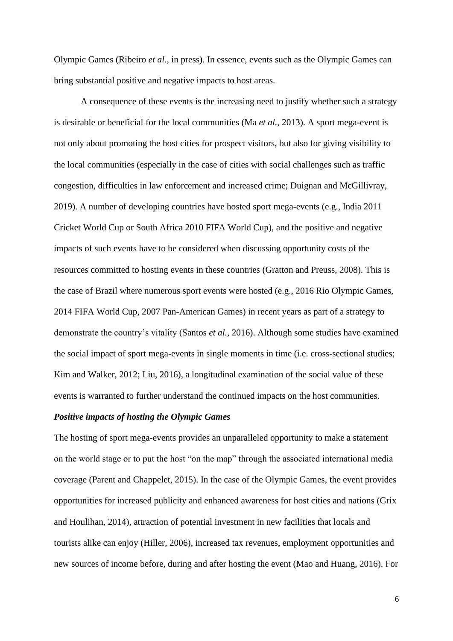Olympic Games (Ribeiro *et al.*, in press). In essence, events such as the Olympic Games can bring substantial positive and negative impacts to host areas.

A consequence of these events is the increasing need to justify whether such a strategy is desirable or beneficial for the local communities (Ma *et al.,* 2013). A sport mega-event is not only about promoting the host cities for prospect visitors, but also for giving visibility to the local communities (especially in the case of cities with social challenges such as traffic congestion, difficulties in law enforcement and increased crime; Duignan and McGillivray, 2019). A number of developing countries have hosted sport mega-events (e.g., India 2011 Cricket World Cup or South Africa 2010 FIFA World Cup), and the positive and negative impacts of such events have to be considered when discussing opportunity costs of the resources committed to hosting events in these countries (Gratton and Preuss, 2008). This is the case of Brazil where numerous sport events were hosted (e.g., 2016 Rio Olympic Games, 2014 FIFA World Cup, 2007 Pan-American Games) in recent years as part of a strategy to demonstrate the country's vitality (Santos *et al.,* 2016). Although some studies have examined the social impact of sport mega-events in single moments in time (i.e. cross-sectional studies; Kim and Walker, 2012; Liu, 2016), a longitudinal examination of the social value of these events is warranted to further understand the continued impacts on the host communities.

#### *Positive impacts of hosting the Olympic Games*

The hosting of sport mega-events provides an unparalleled opportunity to make a statement on the world stage or to put the host "on the map" through the associated international media coverage (Parent and Chappelet, 2015). In the case of the Olympic Games, the event provides opportunities for increased publicity and enhanced awareness for host cities and nations (Grix and Houlihan, 2014), attraction of potential investment in new facilities that locals and tourists alike can enjoy (Hiller, 2006), increased tax revenues, employment opportunities and new sources of income before, during and after hosting the event (Mao and Huang, 2016). For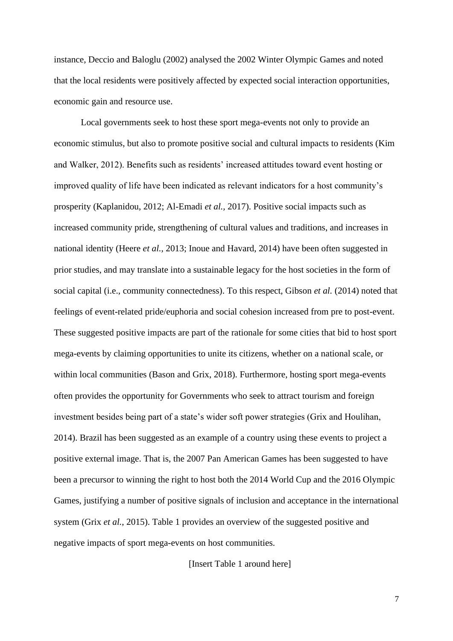instance, Deccio and Baloglu (2002) analysed the 2002 Winter Olympic Games and noted that the local residents were positively affected by expected social interaction opportunities, economic gain and resource use.

Local governments seek to host these sport mega-events not only to provide an economic stimulus, but also to promote positive social and cultural impacts to residents (Kim and Walker, 2012). Benefits such as residents' increased attitudes toward event hosting or improved quality of life have been indicated as relevant indicators for a host community's prosperity (Kaplanidou, 2012; Al-Emadi *et al.,* 2017). Positive social impacts such as increased community pride, strengthening of cultural values and traditions, and increases in national identity (Heere *et al.,* 2013; Inoue and Havard, 2014) have been often suggested in prior studies, and may translate into a sustainable legacy for the host societies in the form of social capital (i.e., community connectedness). To this respect, Gibson *et al.* (2014) noted that feelings of event-related pride/euphoria and social cohesion increased from pre to post-event. These suggested positive impacts are part of the rationale for some cities that bid to host sport mega-events by claiming opportunities to unite its citizens, whether on a national scale, or within local communities (Bason and Grix, 2018). Furthermore, hosting sport mega-events often provides the opportunity for Governments who seek to attract tourism and foreign investment besides being part of a state's wider soft power strategies (Grix and Houlihan, 2014). Brazil has been suggested as an example of a country using these events to project a positive external image. That is, the 2007 Pan American Games has been suggested to have been a precursor to winning the right to host both the 2014 World Cup and the 2016 Olympic Games, justifying a number of positive signals of inclusion and acceptance in the international system (Grix *et al.*, 2015). Table 1 provides an overview of the suggested positive and negative impacts of sport mega-events on host communities.

[Insert Table 1 around here]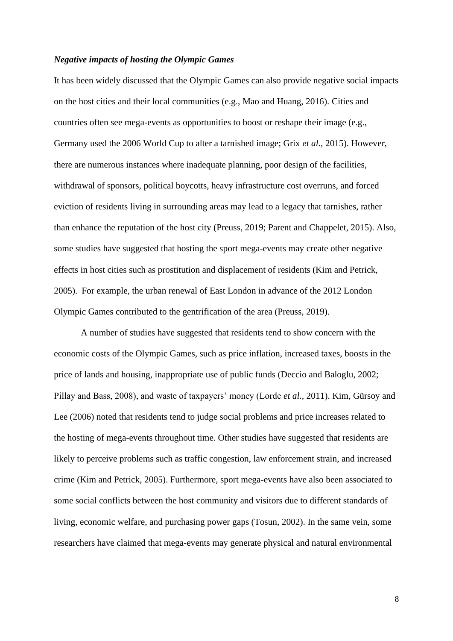#### *Negative impacts of hosting the Olympic Games*

It has been widely discussed that the Olympic Games can also provide negative social impacts on the host cities and their local communities (e.g., Mao and Huang, 2016). Cities and countries often see mega-events as opportunities to boost or reshape their image (e.g., Germany used the 2006 World Cup to alter a tarnished image; Grix *et al.*, 2015). However, there are numerous instances where inadequate planning, poor design of the facilities, withdrawal of sponsors, political boycotts, heavy infrastructure cost overruns, and forced eviction of residents living in surrounding areas may lead to a legacy that tarnishes, rather than enhance the reputation of the host city (Preuss, 2019; Parent and Chappelet, 2015). Also, some studies have suggested that hosting the sport mega-events may create other negative effects in host cities such as prostitution and displacement of residents (Kim and Petrick, 2005). For example, the urban renewal of East London in advance of the 2012 London Olympic Games contributed to the gentrification of the area (Preuss, 2019).

A number of studies have suggested that residents tend to show concern with the economic costs of the Olympic Games, such as price inflation, increased taxes, boosts in the price of lands and housing, inappropriate use of public funds (Deccio and Baloglu, 2002; Pillay and Bass, 2008), and waste of taxpayers' money (Lorde *et al.,* 2011). Kim, Gürsoy and Lee (2006) noted that residents tend to judge social problems and price increases related to the hosting of mega-events throughout time. Other studies have suggested that residents are likely to perceive problems such as traffic congestion, law enforcement strain, and increased crime (Kim and Petrick, 2005). Furthermore, sport mega-events have also been associated to some social conflicts between the host community and visitors due to different standards of living, economic welfare, and purchasing power gaps (Tosun, 2002). In the same vein, some researchers have claimed that mega-events may generate physical and natural environmental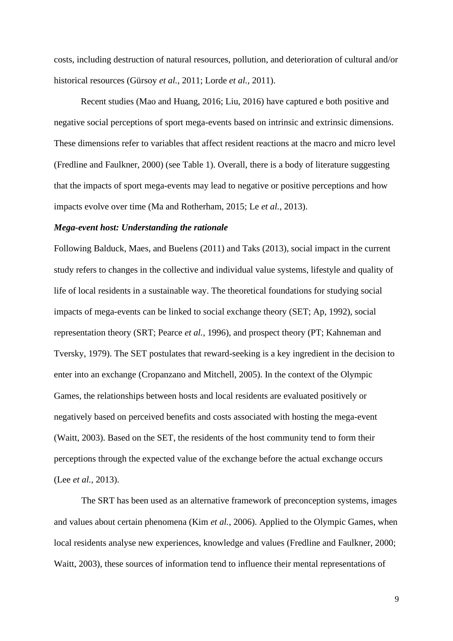costs, including destruction of natural resources, pollution, and deterioration of cultural and/or historical resources (Gürsoy *et al.,* 2011; Lorde *et al.,* 2011).

Recent studies (Mao and Huang, 2016; Liu, 2016) have captured e both positive and negative social perceptions of sport mega-events based on intrinsic and extrinsic dimensions. These dimensions refer to variables that affect resident reactions at the macro and micro level (Fredline and Faulkner, 2000) (see Table 1). Overall, there is a body of literature suggesting that the impacts of sport mega-events may lead to negative or positive perceptions and how impacts evolve over time (Ma and Rotherham, 2015; Le *et al.*, 2013).

#### *Mega-event host: Understanding the rationale*

Following Balduck, Maes, and Buelens (2011) and Taks (2013), social impact in the current study refers to changes in the collective and individual value systems, lifestyle and quality of life of local residents in a sustainable way. The theoretical foundations for studying social impacts of mega-events can be linked to social exchange theory (SET; Ap, 1992), social representation theory (SRT; Pearce *et al.,* 1996), and prospect theory (PT; Kahneman and Tversky, 1979). The SET postulates that reward-seeking is a key ingredient in the decision to enter into an exchange (Cropanzano and Mitchell, 2005). In the context of the Olympic Games, the relationships between hosts and local residents are evaluated positively or negatively based on perceived benefits and costs associated with hosting the mega-event (Waitt, 2003). Based on the SET, the residents of the host community tend to form their perceptions through the expected value of the exchange before the actual exchange occurs (Lee *et al.,* 2013).

The SRT has been used as an alternative framework of preconception systems, images and values about certain phenomena (Kim *et al.,* 2006). Applied to the Olympic Games, when local residents analyse new experiences, knowledge and values (Fredline and Faulkner, 2000; Waitt, 2003), these sources of information tend to influence their mental representations of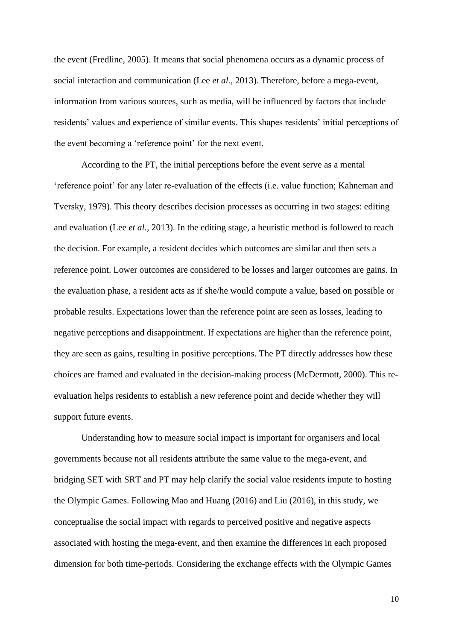the event (Fredline, 2005). It means that social phenomena occurs as a dynamic process of social interaction and communication (Lee *et al.,* 2013). Therefore, before a mega-event, information from various sources, such as media, will be influenced by factors that include residents' values and experience of similar events. This shapes residents' initial perceptions of the event becoming a 'reference point' for the next event.

According to the PT, the initial perceptions before the event serve as a mental 'reference point' for any later re-evaluation of the effects (i.e. value function; Kahneman and Tversky, 1979). This theory describes decision processes as occurring in two stages: editing and evaluation (Lee *et al.,* 2013). In the editing stage, a heuristic method is followed to reach the decision. For example, a resident decides which outcomes are similar and then sets a reference point. Lower outcomes are considered to be losses and larger outcomes are gains. In the evaluation phase, a resident acts as if she/he would compute a value, based on possible or probable results. Expectations lower than the reference point are seen as losses, leading to negative perceptions and disappointment. If expectations are higher than the reference point, they are seen as gains, resulting in positive perceptions. The PT directly addresses how these choices are framed and evaluated in the decision-making process (McDermott, 2000). This reevaluation helps residents to establish a new reference point and decide whether they will support future events.

Understanding how to measure social impact is important for organisers and local governments because not all residents attribute the same value to the mega-event, and bridging SET with SRT and PT may help clarify the social value residents impute to hosting the Olympic Games. Following Mao and Huang (2016) and Liu (2016), in this study, we conceptualise the social impact with regards to perceived positive and negative aspects associated with hosting the mega-event, and then examine the differences in each proposed dimension for both time-periods. Considering the exchange effects with the Olympic Games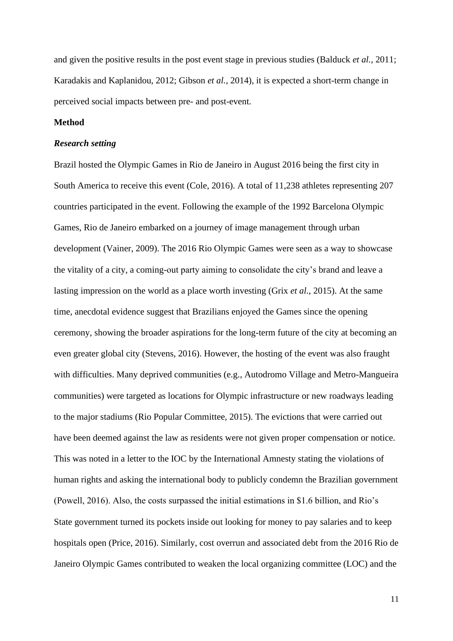and given the positive results in the post event stage in previous studies (Balduck *et al.*, 2011; Karadakis and Kaplanidou, 2012; Gibson *et al.*, 2014), it is expected a short-term change in perceived social impacts between pre- and post-event.

# **Method**

#### *Research setting*

Brazil hosted the Olympic Games in Rio de Janeiro in August 2016 being the first city in South America to receive this event (Cole, 2016). A total of 11,238 athletes representing 207 countries participated in the event. Following the example of the 1992 Barcelona Olympic Games, Rio de Janeiro embarked on a journey of image management through urban development (Vainer, 2009). The 2016 Rio Olympic Games were seen as a way to showcase the vitality of a city, a coming-out party aiming to consolidate the city's brand and leave a lasting impression on the world as a place worth investing (Grix *et al.*, 2015). At the same time, anecdotal evidence suggest that Brazilians enjoyed the Games since the opening ceremony, showing the broader aspirations for the long-term future of the city at becoming an even greater global city (Stevens, 2016). However, the hosting of the event was also fraught with difficulties. Many deprived communities (e.g., Autodromo Village and Metro-Mangueira communities) were targeted as locations for Olympic infrastructure or new roadways leading to the major stadiums (Rio Popular Committee, 2015). The evictions that were carried out have been deemed against the law as residents were not given proper compensation or notice. This was noted in a letter to the IOC by the International Amnesty stating the violations of human rights and asking the international body to publicly condemn the Brazilian government (Powell, 2016). Also, the costs surpassed the initial estimations in \$1.6 billion, and Rio's State government turned its pockets inside out looking for money to pay salaries and to keep hospitals open (Price, 2016). Similarly, cost overrun and associated debt from the 2016 Rio de Janeiro Olympic Games contributed to weaken the local organizing committee (LOC) and the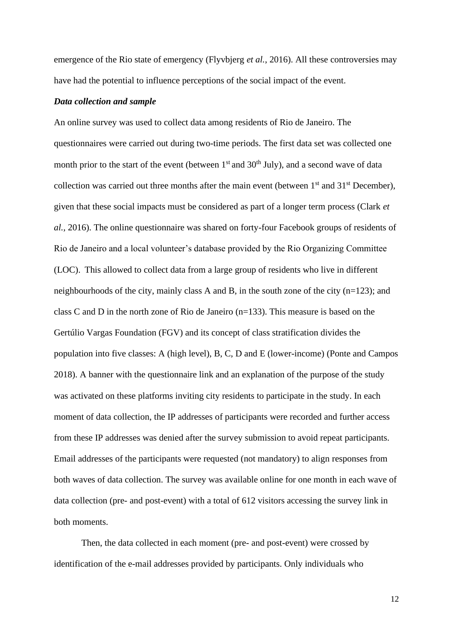emergence of the Rio state of emergency (Flyvbjerg *et al.*, 2016). All these controversies may have had the potential to influence perceptions of the social impact of the event.

#### *Data collection and sample*

An online survey was used to collect data among residents of Rio de Janeiro. The questionnaires were carried out during two-time periods. The first data set was collected one month prior to the start of the event (between  $1<sup>st</sup>$  and  $30<sup>th</sup>$  July), and a second wave of data collection was carried out three months after the main event (between  $1<sup>st</sup>$  and  $31<sup>st</sup>$  December), given that these social impacts must be considered as part of a longer term process (Clark *et al.,* 2016). The online questionnaire was shared on forty-four Facebook groups of residents of Rio de Janeiro and a local volunteer's database provided by the Rio Organizing Committee (LOC). This allowed to collect data from a large group of residents who live in different neighbourhoods of the city, mainly class A and B, in the south zone of the city (n=123); and class C and D in the north zone of Rio de Janeiro (n=133). This measure is based on the Gertúlio Vargas Foundation (FGV) and its concept of class stratification divides the population into five classes: A (high level), B, C, D and E (lower-income) (Ponte and Campos 2018). A banner with the questionnaire link and an explanation of the purpose of the study was activated on these platforms inviting city residents to participate in the study. In each moment of data collection, the IP addresses of participants were recorded and further access from these IP addresses was denied after the survey submission to avoid repeat participants. Email addresses of the participants were requested (not mandatory) to align responses from both waves of data collection. The survey was available online for one month in each wave of data collection (pre- and post-event) with a total of 612 visitors accessing the survey link in both moments.

Then, the data collected in each moment (pre- and post-event) were crossed by identification of the e-mail addresses provided by participants. Only individuals who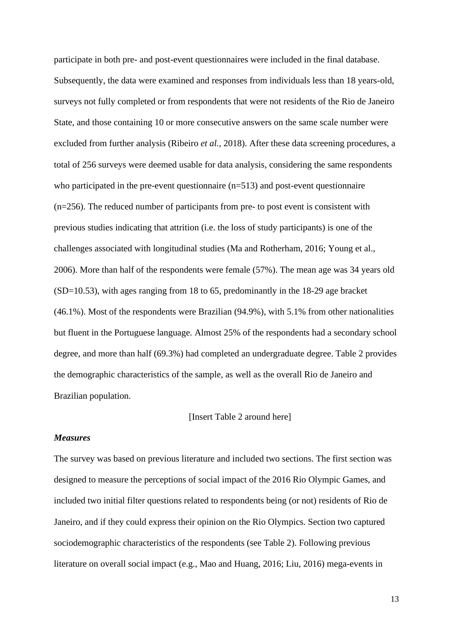participate in both pre- and post-event questionnaires were included in the final database. Subsequently, the data were examined and responses from individuals less than 18 years-old, surveys not fully completed or from respondents that were not residents of the Rio de Janeiro State, and those containing 10 or more consecutive answers on the same scale number were excluded from further analysis (Ribeiro *et al.,* 2018). After these data screening procedures, a total of 256 surveys were deemed usable for data analysis, considering the same respondents who participated in the pre-event questionnaire  $(n=513)$  and post-event questionnaire (n=256). The reduced number of participants from pre- to post event is consistent with previous studies indicating that attrition (i.e. the loss of study participants) is one of the challenges associated with longitudinal studies (Ma and Rotherham, 2016; Young et al., 2006). More than half of the respondents were female (57%). The mean age was 34 years old (SD=10.53), with ages ranging from 18 to 65, predominantly in the 18-29 age bracket (46.1%). Most of the respondents were Brazilian (94.9%), with 5.1% from other nationalities but fluent in the Portuguese language. Almost 25% of the respondents had a secondary school degree, and more than half (69.3%) had completed an undergraduate degree. Table 2 provides the demographic characteristics of the sample, as well as the overall Rio de Janeiro and Brazilian population.

#### [Insert Table 2 around here]

#### *Measures*

The survey was based on previous literature and included two sections. The first section was designed to measure the perceptions of social impact of the 2016 Rio Olympic Games, and included two initial filter questions related to respondents being (or not) residents of Rio de Janeiro, and if they could express their opinion on the Rio Olympics. Section two captured sociodemographic characteristics of the respondents (see Table 2). Following previous literature on overall social impact (e.g., Mao and Huang, 2016; Liu, 2016) mega-events in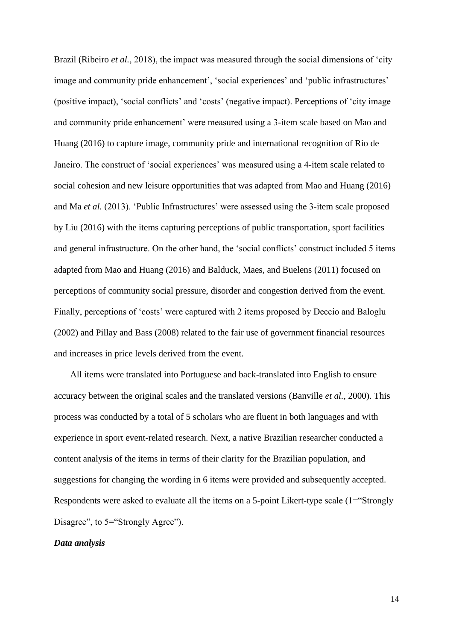Brazil (Ribeiro *et al.*, 2018), the impact was measured through the social dimensions of 'city image and community pride enhancement', 'social experiences' and 'public infrastructures' (positive impact), 'social conflicts' and 'costs' (negative impact). Perceptions of 'city image and community pride enhancement' were measured using a 3-item scale based on Mao and Huang (2016) to capture image, community pride and international recognition of Rio de Janeiro. The construct of 'social experiences' was measured using a 4-item scale related to social cohesion and new leisure opportunities that was adapted from Mao and Huang (2016) and Ma *et al.* (2013). 'Public Infrastructures' were assessed using the 3-item scale proposed by Liu (2016) with the items capturing perceptions of public transportation, sport facilities and general infrastructure. On the other hand, the 'social conflicts' construct included 5 items adapted from Mao and Huang (2016) and Balduck, Maes, and Buelens (2011) focused on perceptions of community social pressure, disorder and congestion derived from the event. Finally, perceptions of 'costs' were captured with 2 items proposed by Deccio and Baloglu (2002) and Pillay and Bass (2008) related to the fair use of government financial resources and increases in price levels derived from the event.

All items were translated into Portuguese and back-translated into English to ensure accuracy between the original scales and the translated versions (Banville *et al.,* 2000). This process was conducted by a total of 5 scholars who are fluent in both languages and with experience in sport event-related research. Next, a native Brazilian researcher conducted a content analysis of the items in terms of their clarity for the Brazilian population, and suggestions for changing the wording in 6 items were provided and subsequently accepted. Respondents were asked to evaluate all the items on a 5-point Likert-type scale (1="Strongly Disagree", to 5="Strongly Agree").

#### *Data analysis*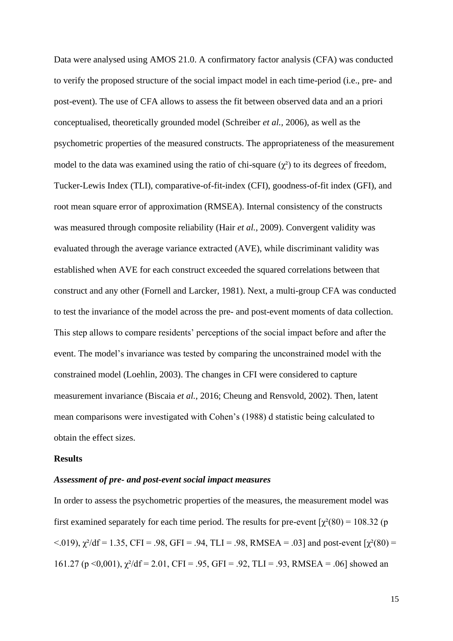Data were analysed using AMOS 21.0. A confirmatory factor analysis (CFA) was conducted to verify the proposed structure of the social impact model in each time-period (i.e., pre- and post-event). The use of CFA allows to assess the fit between observed data and an a priori conceptualised, theoretically grounded model (Schreiber *et al.,* 2006), as well as the psychometric properties of the measured constructs. The appropriateness of the measurement model to the data was examined using the ratio of chi-square  $(\gamma^2)$  to its degrees of freedom, Tucker-Lewis Index (TLI), comparative-of-fit-index (CFI), goodness-of-fit index (GFI), and root mean square error of approximation (RMSEA). Internal consistency of the constructs was measured through composite reliability (Hair *et al.,* 2009). Convergent validity was evaluated through the average variance extracted (AVE), while discriminant validity was established when AVE for each construct exceeded the squared correlations between that construct and any other (Fornell and Larcker, 1981). Next, a multi-group CFA was conducted to test the invariance of the model across the pre- and post-event moments of data collection. This step allows to compare residents' perceptions of the social impact before and after the event. The model's invariance was tested by comparing the unconstrained model with the constrained model (Loehlin, 2003). The changes in CFI were considered to capture measurement invariance (Biscaia *et al.,* 2016; Cheung and Rensvold, 2002). Then, latent mean comparisons were investigated with Cohen's (1988) d statistic being calculated to obtain the effect sizes.

#### **Results**

## *Assessment of pre- and post-event social impact measures*

In order to assess the psychometric properties of the measures, the measurement model was first examined separately for each time period. The results for pre-event  $\gamma^2(80) = 108.32$  (p <.019),  $\chi^2$ /df = 1.35, CFI = .98, GFI = .94, TLI = .98, RMSEA = .03] and post-event [ $\chi^2(80)$  = 161.27 (p <0,001),  $\chi^2$ /df = 2.01, CFI = .95, GFI = .92, TLI = .93, RMSEA = .06] showed an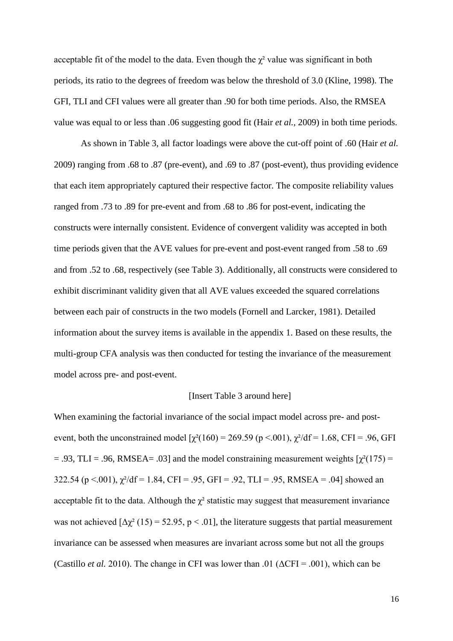acceptable fit of the model to the data. Even though the  $\chi^2$  value was significant in both periods, its ratio to the degrees of freedom was below the threshold of 3.0 (Kline, 1998). The GFI, TLI and CFI values were all greater than .90 for both time periods. Also, the RMSEA value was equal to or less than .06 suggesting good fit (Hair *et al.,* 2009) in both time periods.

As shown in Table 3, all factor loadings were above the cut-off point of .60 (Hair *et al.* 2009) ranging from .68 to .87 (pre-event), and .69 to .87 (post-event), thus providing evidence that each item appropriately captured their respective factor. The composite reliability values ranged from .73 to .89 for pre-event and from .68 to .86 for post-event, indicating the constructs were internally consistent. Evidence of convergent validity was accepted in both time periods given that the AVE values for pre-event and post-event ranged from .58 to .69 and from .52 to .68, respectively (see Table 3). Additionally, all constructs were considered to exhibit discriminant validity given that all AVE values exceeded the squared correlations between each pair of constructs in the two models (Fornell and Larcker, 1981). Detailed information about the survey items is available in the appendix 1. Based on these results, the multi-group CFA analysis was then conducted for testing the invariance of the measurement model across pre- and post-event.

## [Insert Table 3 around here]

When examining the factorial invariance of the social impact model across pre- and postevent, both the unconstrained model  $[\chi^2(160) = 269.59$  (p <.001),  $\chi^2/df = 1.68$ , CFI = .96, GFI  $= .93$ , TLI = .96, RMSEA= .03] and the model constraining measurement weights  $\gamma^2(175)$  = 322.54 (p <.001),  $\chi^2/df = 1.84$ , CFI = .95, GFI = .92, TLI = .95, RMSEA = .04] showed an acceptable fit to the data. Although the  $\chi^2$  statistic may suggest that measurement invariance was not achieved  $[\Delta \chi^2 (15) = 52.95, p < .01]$ , the literature suggests that partial measurement invariance can be assessed when measures are invariant across some but not all the groups (Castillo *et al.* 2010). The change in CFI was lower than .01 ( $\Delta$ CFI = .001), which can be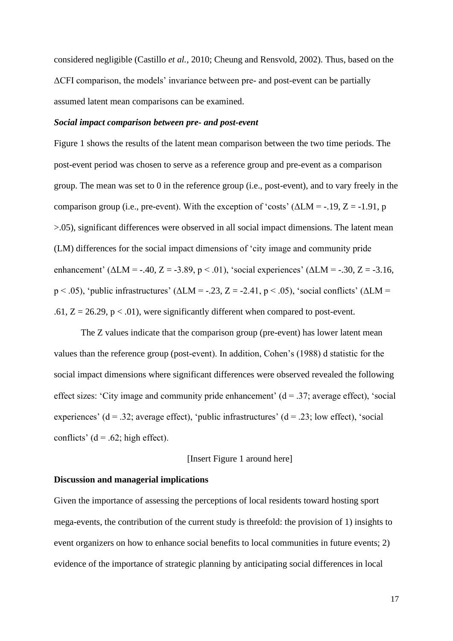considered negligible (Castillo *et al.,* 2010; Cheung and Rensvold, 2002). Thus, based on the ΔCFI comparison, the models' invariance between pre- and post-event can be partially assumed latent mean comparisons can be examined.

# *Social impact comparison between pre- and post-event*

Figure 1 shows the results of the latent mean comparison between the two time periods. The post-event period was chosen to serve as a reference group and pre-event as a comparison group. The mean was set to 0 in the reference group (i.e., post-event), and to vary freely in the comparison group (i.e., pre-event). With the exception of 'costs' ( $\Delta LM = -19$ ,  $Z = -1.91$ , p >.05), significant differences were observed in all social impact dimensions. The latent mean (LM) differences for the social impact dimensions of 'city image and community pride enhancement' ( $\triangle LM = -.40, Z = -3.89, p < .01$ ), 'social experiences' ( $\triangle LM = -.30, Z = -3.16,$  $p < .05$ ), 'public infrastructures' ( $\triangle LM = -.23$ ,  $Z = -2.41$ ,  $p < .05$ ), 'social conflicts' ( $\triangle LM =$ .61,  $Z = 26.29$ ,  $p < .01$ ), were significantly different when compared to post-event.

The Z values indicate that the comparison group (pre-event) has lower latent mean values than the reference group (post-event). In addition, Cohen's (1988) d statistic for the social impact dimensions where significant differences were observed revealed the following effect sizes: 'City image and community pride enhancement'  $(d = .37;$  average effect), 'social experiences' ( $d = 0.32$ ; average effect), 'public infrastructures' ( $d = 0.23$ ; low effect), 'social conflicts' ( $d = .62$ ; high effect).

#### [Insert Figure 1 around here]

## **Discussion and managerial implications**

Given the importance of assessing the perceptions of local residents toward hosting sport mega-events, the contribution of the current study is threefold: the provision of 1) insights to event organizers on how to enhance social benefits to local communities in future events; 2) evidence of the importance of strategic planning by anticipating social differences in local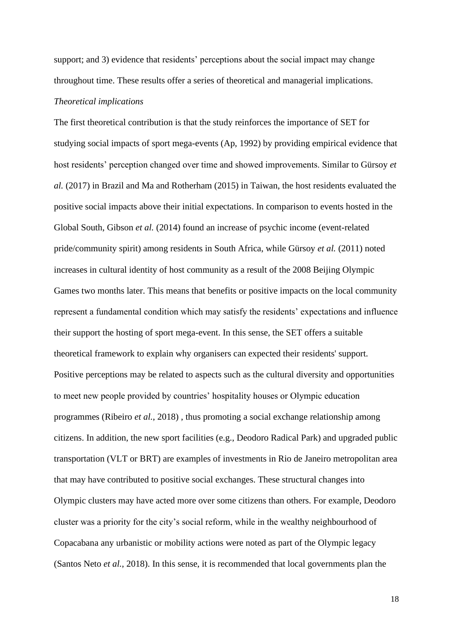support; and 3) evidence that residents' perceptions about the social impact may change throughout time. These results offer a series of theoretical and managerial implications.

#### *Theoretical implications*

The first theoretical contribution is that the study reinforces the importance of SET for studying social impacts of sport mega-events (Ap, 1992) by providing empirical evidence that host residents' perception changed over time and showed improvements. Similar to Gürsoy *et al.* (2017) in Brazil and Ma and Rotherham (2015) in Taiwan, the host residents evaluated the positive social impacts above their initial expectations. In comparison to events hosted in the Global South, Gibson *et al.* (2014) found an increase of psychic income (event-related pride/community spirit) among residents in South Africa, while Gürsoy *et al.* (2011) noted increases in cultural identity of host community as a result of the 2008 Beijing Olympic Games two months later. This means that benefits or positive impacts on the local community represent a fundamental condition which may satisfy the residents' expectations and influence their support the hosting of sport mega-event. In this sense, the SET offers a suitable theoretical framework to explain why organisers can expected their residents' support. Positive perceptions may be related to aspects such as the cultural diversity and opportunities to meet new people provided by countries' hospitality houses or Olympic education programmes (Ribeiro *et al.*, 2018) , thus promoting a social exchange relationship among citizens. In addition, the new sport facilities (e.g., Deodoro Radical Park) and upgraded public transportation (VLT or BRT) are examples of investments in Rio de Janeiro metropolitan area that may have contributed to positive social exchanges. These structural changes into Olympic clusters may have acted more over some citizens than others. For example, Deodoro cluster was a priority for the city's social reform, while in the wealthy neighbourhood of Copacabana any urbanistic or mobility actions were noted as part of the Olympic legacy (Santos Neto *et al.*, 2018). In this sense, it is recommended that local governments plan the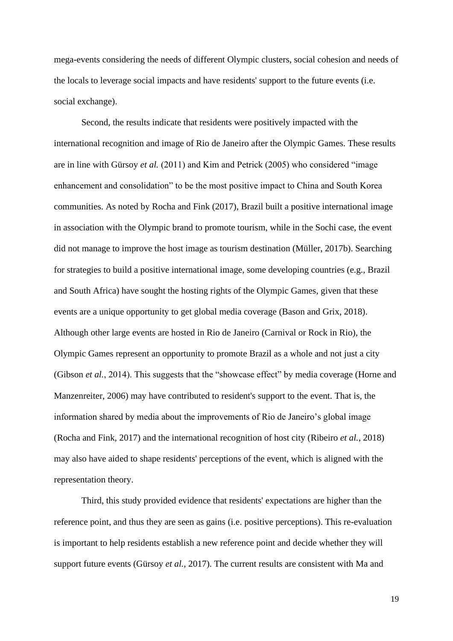mega-events considering the needs of different Olympic clusters, social cohesion and needs of the locals to leverage social impacts and have residents' support to the future events (i.e. social exchange).

Second, the results indicate that residents were positively impacted with the international recognition and image of Rio de Janeiro after the Olympic Games. These results are in line with Gürsoy *et al.* (2011) and Kim and Petrick (2005) who considered "image enhancement and consolidation" to be the most positive impact to China and South Korea communities. As noted by Rocha and Fink (2017), Brazil built a positive international image in association with the Olympic brand to promote tourism, while in the Sochi case, the event did not manage to improve the host image as tourism destination (Müller, 2017b). Searching for strategies to build a positive international image, some developing countries (e.g., Brazil and South Africa) have sought the hosting rights of the Olympic Games, given that these events are a unique opportunity to get global media coverage (Bason and Grix, 2018). Although other large events are hosted in Rio de Janeiro (Carnival or Rock in Rio), the Olympic Games represent an opportunity to promote Brazil as a whole and not just a city (Gibson *et al.*, 2014). This suggests that the "showcase effect" by media coverage (Horne and Manzenreiter, 2006) may have contributed to resident's support to the event. That is, the information shared by media about the improvements of Rio de Janeiro's global image (Rocha and Fink, 2017) and the international recognition of host city (Ribeiro *et al.*, 2018) may also have aided to shape residents' perceptions of the event, which is aligned with the representation theory.

Third, this study provided evidence that residents' expectations are higher than the reference point, and thus they are seen as gains (i.e. positive perceptions). This re-evaluation is important to help residents establish a new reference point and decide whether they will support future events (Gürsoy *et al.*, 2017). The current results are consistent with Ma and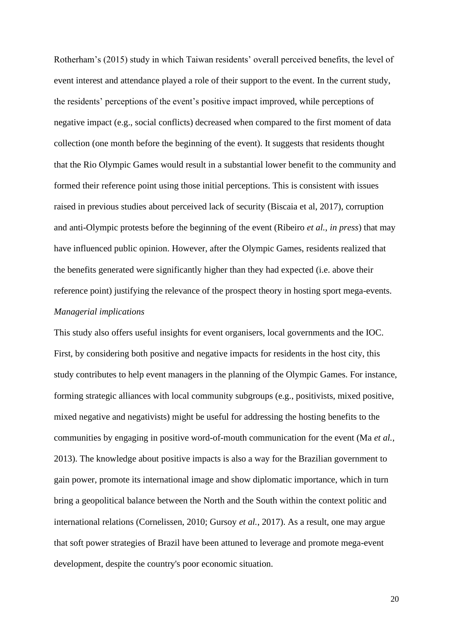Rotherham's (2015) study in which Taiwan residents' overall perceived benefits, the level of event interest and attendance played a role of their support to the event. In the current study, the residents' perceptions of the event's positive impact improved, while perceptions of negative impact (e.g., social conflicts) decreased when compared to the first moment of data collection (one month before the beginning of the event). It suggests that residents thought that the Rio Olympic Games would result in a substantial lower benefit to the community and formed their reference point using those initial perceptions. This is consistent with issues raised in previous studies about perceived lack of security (Biscaia et al, 2017), corruption and anti-Olympic protests before the beginning of the event (Ribeiro *et al.*, *in press*) that may have influenced public opinion. However, after the Olympic Games, residents realized that the benefits generated were significantly higher than they had expected (i.e. above their reference point) justifying the relevance of the prospect theory in hosting sport mega-events. *Managerial implications*

This study also offers useful insights for event organisers, local governments and the IOC. First, by considering both positive and negative impacts for residents in the host city, this study contributes to help event managers in the planning of the Olympic Games. For instance, forming strategic alliances with local community subgroups (e.g., positivists, mixed positive, mixed negative and negativists) might be useful for addressing the hosting benefits to the communities by engaging in positive word-of-mouth communication for the event (Ma *et al.*, 2013). The knowledge about positive impacts is also a way for the Brazilian government to gain power, promote its international image and show diplomatic importance, which in turn bring a geopolitical balance between the North and the South within the context politic and international relations (Cornelissen, 2010; Gursoy *et al.*, 2017). As a result, one may argue that soft power strategies of Brazil have been attuned to leverage and promote mega-event development, despite the country's poor economic situation.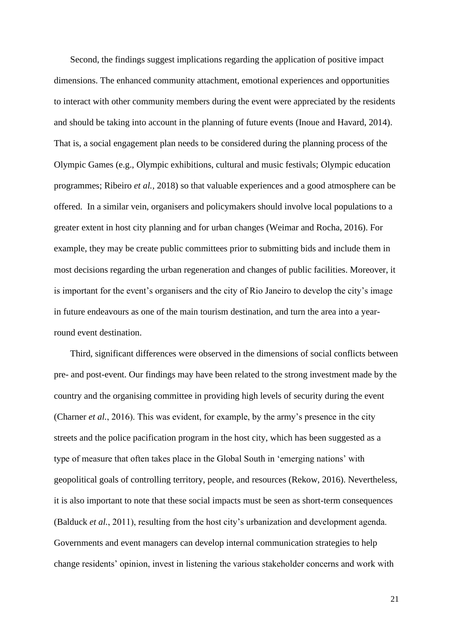Second, the findings suggest implications regarding the application of positive impact dimensions. The enhanced community attachment, emotional experiences and opportunities to interact with other community members during the event were appreciated by the residents and should be taking into account in the planning of future events (Inoue and Havard, 2014). That is, a social engagement plan needs to be considered during the planning process of the Olympic Games (e.g., Olympic exhibitions, cultural and music festivals; Olympic education programmes; Ribeiro *et al.,* 2018) so that valuable experiences and a good atmosphere can be offered. In a similar vein, organisers and policymakers should involve local populations to a greater extent in host city planning and for urban changes (Weimar and Rocha, 2016). For example, they may be create public committees prior to submitting bids and include them in most decisions regarding the urban regeneration and changes of public facilities. Moreover, it is important for the event's organisers and the city of Rio Janeiro to develop the city's image in future endeavours as one of the main tourism destination, and turn the area into a yearround event destination.

Third, significant differences were observed in the dimensions of social conflicts between pre- and post-event. Our findings may have been related to the strong investment made by the country and the organising committee in providing high levels of security during the event (Charner *et al.*, 2016). This was evident, for example, by the army's presence in the city streets and the police pacification program in the host city, which has been suggested as a type of measure that often takes place in the Global South in 'emerging nations' with geopolitical goals of controlling territory, people, and resources (Rekow, 2016). Nevertheless, it is also important to note that these social impacts must be seen as short-term consequences (Balduck *et al.*, 2011), resulting from the host city's urbanization and development agenda. Governments and event managers can develop internal communication strategies to help change residents' opinion, invest in listening the various stakeholder concerns and work with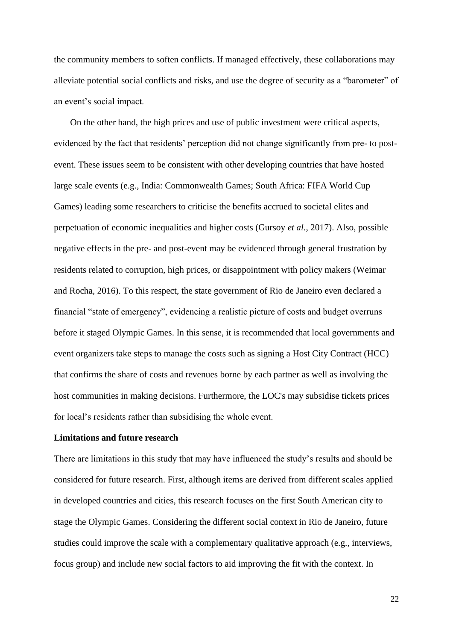the community members to soften conflicts. If managed effectively, these collaborations may alleviate potential social conflicts and risks, and use the degree of security as a "barometer" of an event's social impact.

On the other hand, the high prices and use of public investment were critical aspects, evidenced by the fact that residents' perception did not change significantly from pre- to postevent. These issues seem to be consistent with other developing countries that have hosted large scale events (e.g., India: Commonwealth Games; South Africa: FIFA World Cup Games) leading some researchers to criticise the benefits accrued to societal elites and perpetuation of economic inequalities and higher costs (Gursoy *et al.*, 2017). Also, possible negative effects in the pre- and post-event may be evidenced through general frustration by residents related to corruption, high prices, or disappointment with policy makers (Weimar and Rocha, 2016). To this respect, the state government of Rio de Janeiro even declared a financial "state of emergency", evidencing a realistic picture of costs and budget overruns before it staged Olympic Games. In this sense, it is recommended that local governments and event organizers take steps to manage the costs such as signing a Host City Contract (HCC) that confirms the share of costs and revenues borne by each partner as well as involving the host communities in making decisions. Furthermore, the LOC's may subsidise tickets prices for local's residents rather than subsidising the whole event.

## **Limitations and future research**

There are limitations in this study that may have influenced the study's results and should be considered for future research. First, although items are derived from different scales applied in developed countries and cities, this research focuses on the first South American city to stage the Olympic Games. Considering the different social context in Rio de Janeiro, future studies could improve the scale with a complementary qualitative approach (e.g., interviews, focus group) and include new social factors to aid improving the fit with the context. In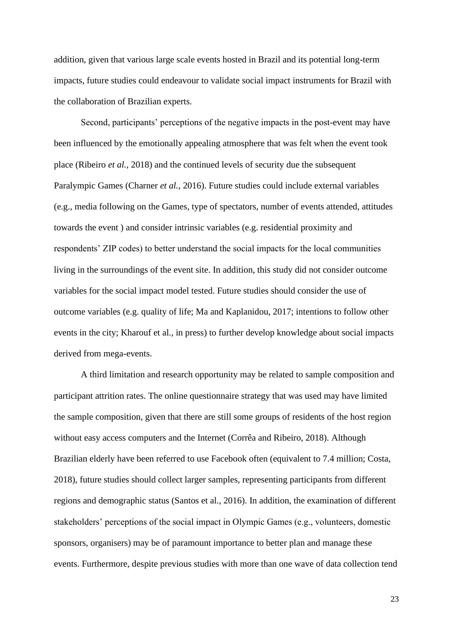addition, given that various large scale events hosted in Brazil and its potential long-term impacts, future studies could endeavour to validate social impact instruments for Brazil with the collaboration of Brazilian experts.

Second, participants' perceptions of the negative impacts in the post-event may have been influenced by the emotionally appealing atmosphere that was felt when the event took place (Ribeiro *et al.*, 2018) and the continued levels of security due the subsequent Paralympic Games (Charner *et al.*, 2016). Future studies could include external variables (e.g., media following on the Games, type of spectators, number of events attended, attitudes towards the event ) and consider intrinsic variables (e.g. residential proximity and respondents' ZIP codes) to better understand the social impacts for the local communities living in the surroundings of the event site. In addition, this study did not consider outcome variables for the social impact model tested. Future studies should consider the use of outcome variables (e.g. quality of life; Ma and Kaplanidou, 2017; intentions to follow other events in the city; Kharouf et al., in press) to further develop knowledge about social impacts derived from mega-events.

A third limitation and research opportunity may be related to sample composition and participant attrition rates. The online questionnaire strategy that was used may have limited the sample composition, given that there are still some groups of residents of the host region without easy access computers and the Internet (Corrêa and Ribeiro, 2018). Although Brazilian elderly have been referred to use Facebook often (equivalent to 7.4 million; Costa, 2018), future studies should collect larger samples, representing participants from different regions and demographic status (Santos et al., 2016). In addition, the examination of different stakeholders' perceptions of the social impact in Olympic Games (e.g., volunteers, domestic sponsors, organisers) may be of paramount importance to better plan and manage these events. Furthermore, despite previous studies with more than one wave of data collection tend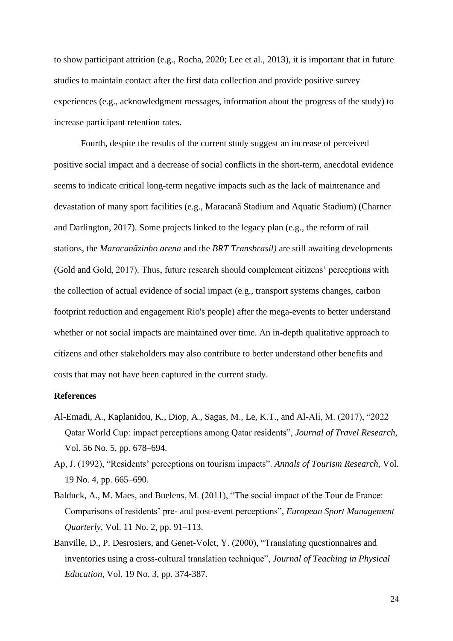to show participant attrition (e.g., Rocha, 2020; Lee et al., 2013), it is important that in future studies to maintain contact after the first data collection and provide positive survey experiences (e.g., acknowledgment messages, information about the progress of the study) to increase participant retention rates.

Fourth, despite the results of the current study suggest an increase of perceived positive social impact and a decrease of social conflicts in the short-term, anecdotal evidence seems to indicate critical long-term negative impacts such as the lack of maintenance and devastation of many sport facilities (e.g., Maracanã Stadium and Aquatic Stadium) (Charner and Darlington, 2017). Some projects linked to the legacy plan (e.g., the reform of rail stations, the *Maracanãzinho arena* and the *BRT Transbrasil)* are still awaiting developments (Gold and Gold, 2017). Thus, future research should complement citizens' perceptions with the collection of actual evidence of social impact (e.g., transport systems changes, carbon footprint reduction and engagement Rio's people) after the mega-events to better understand whether or not social impacts are maintained over time. An in-depth qualitative approach to citizens and other stakeholders may also contribute to better understand other benefits and costs that may not have been captured in the current study.

# **References**

- Al-Emadi, A., Kaplanidou, K., Diop, A., Sagas, M., Le, K.T., and Al-Ali, M. (2017), "2022 Qatar World Cup: impact perceptions among Qatar residents", *Journal of Travel Research,*  Vol. 56 No. 5, pp. 678–694.
- Ap, J. (1992), "Residents' perceptions on tourism impacts". *Annals of Tourism Research*, Vol. 19 No. 4, pp. 665–690.
- Balduck, A., M. Maes, and Buelens, M. (2011), "The social impact of the Tour de France: Comparisons of residents' pre- and post-event perceptions", *European Sport Management Quarterly*, Vol. 11 No. 2, pp. 91–113.
- Banville, D., P. Desrosiers, and Genet-Volet, Y. (2000), "Translating questionnaires and inventories using a cross-cultural translation technique", *Journal of Teaching in Physical Education,* Vol. 19 No. 3, pp. 374-387.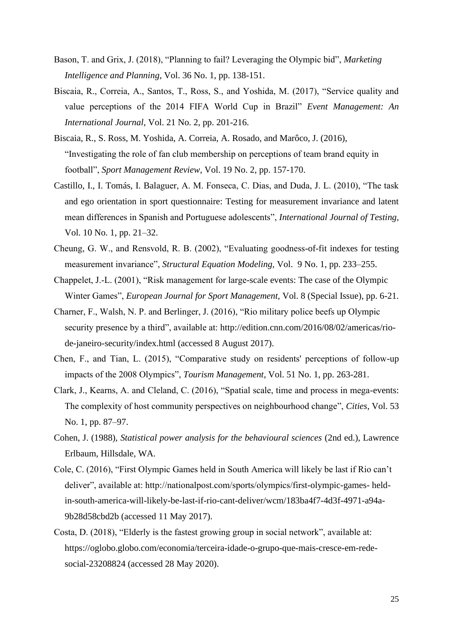- Bason, T. and Grix, J. (2018), "Planning to fail? Leveraging the Olympic bid", *Marketing Intelligence and Planning*, Vol. 36 No. 1, pp. 138-151.
- Biscaia, R., Correia, A., Santos, T., Ross, S., and Yoshida, M. (2017), "Service quality and value perceptions of the 2014 FIFA World Cup in Brazil" *Event Management: An International Journal*, Vol. 21 No. 2, pp. 201-216.
- Biscaia, R., S. Ross, M. Yoshida, A. Correia, A. Rosado, and Marôco, J. (2016), "Investigating the role of fan club membership on perceptions of team brand equity in football", *Sport Management Review*, Vol. 19 No. 2, pp. 157-170.
- Castillo, I., I. Tomás, I. Balaguer, A. M. Fonseca, C. Dias, and Duda, J. L. (2010), "The task and ego orientation in sport questionnaire: Testing for measurement invariance and latent mean differences in Spanish and Portuguese adolescents", *International Journal of Testing,* Vol. 10 No. 1, pp. 21–32.
- Cheung, G. W., and Rensvold, R. B. (2002), "Evaluating goodness-of-fit indexes for testing measurement invariance", *Structural Equation Modeling,* Vol. 9 No. 1, pp. 233–255.
- Chappelet, J.‐L. (2001), "Risk management for large-scale events: The case of the Olympic Winter Games", *European Journal for Sport Management,* Vol. 8 (Special Issue), pp. 6-21.
- Charner, F., Walsh, N. P. and Berlinger, J. (2016), "Rio military police beefs up Olympic security presence by a third", available at: [http://edition.cnn.com/2016/08/02/americas/rio](http://edition.cnn.com/2016/08/02/americas/rio-de-janeiro-security/index.html)[de-janeiro-security/index.html](http://edition.cnn.com/2016/08/02/americas/rio-de-janeiro-security/index.html) (accessed 8 August 2017).
- Chen, F., and Tian, L. (2015), "Comparative study on residents' perceptions of follow-up impacts of the 2008 Olympics", *Tourism Management*, Vol. 51 No. 1, pp. 263-281.
- Clark, J., Kearns, A. and Cleland, C. (2016), "Spatial scale, time and process in mega-events: The complexity of host community perspectives on neighbourhood change", *Cities*, Vol. 53 No. 1, pp. 87–97.
- Cohen, J. (1988), *Statistical power analysis for the behavioural sciences* (2nd ed.), Lawrence Erlbaum, Hillsdale, WA.
- Cole, C. (2016), "First Olympic Games held in South America will likely be last if Rio can't deliver", available at: http://nationalpost.com/sports/olympics/first-olympic-games- heldin-south-america-will-likely-be-last-if-rio-cant-deliver/wcm/183ba4f7-4d3f-4971-a94a-9b28d58cbd2b (accessed 11 May 2017).
- Costa, D. (2018), "Elderly is the fastest growing group in social network", available at: https://oglobo.globo.com/economia/terceira-idade-o-grupo-que-mais-cresce-em-redesocial-23208824 (accessed 28 May 2020).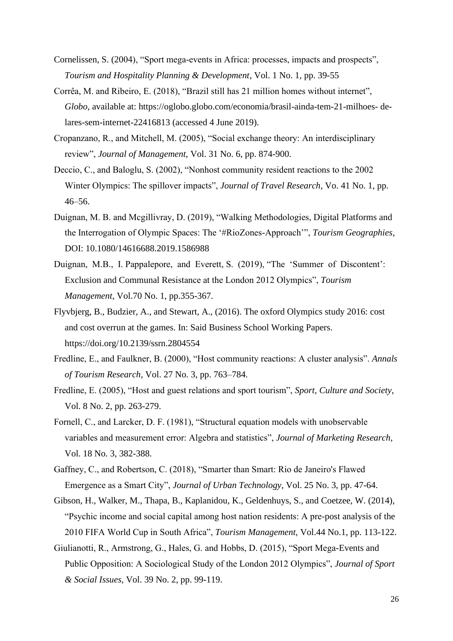- Cornelissen, S. (2004), "Sport mega-events in Africa: processes, impacts and prospects", *Tourism and Hospitality Planning & Development*, Vol. 1 No. 1, pp. 39-55
- Corrêa, M. and Ribeiro, E. (2018), "Brazil still has 21 million homes without internet", *Globo*, available at: https://oglobo.globo.com/economia/brasil-ainda-tem-21-milhoes- delares-sem-internet-22416813 (accessed 4 June 2019).
- Cropanzano, R., and Mitchell, M. (2005), "Social exchange theory: An interdisciplinary review", *Journal of Management,* Vol. 31 No. 6, pp. 874-900.
- Deccio, C., and Baloglu, S. (2002), "Nonhost community resident reactions to the 2002 Winter Olympics: The spillover impacts", *Journal of Travel Research*, Vo. 41 No. 1, pp. 46–56.
- Duignan, M. B. and Mcgillivray, D. (2019), "Walking Methodologies, Digital Platforms and the Interrogation of Olympic Spaces: The '#RioZones-Approach'", *Tourism Geographies*, DOI: 10.1080/14616688.2019.1586988
- Duignan, M.B., I. Pappalepore, and Everett, S. (2019), "The 'Summer of Discontent': Exclusion and Communal Resistance at the London 2012 Olympics", *Tourism Management*, Vol.70 No. 1, pp.355-367.
- Flyvbjerg, B., Budzier, A., and Stewart, A., (2016). The oxford Olympics study 2016: cost and cost overrun at the games. In: Said Business School Working Papers. <https://doi.org/10.2139/ssrn.2804554>
- Fredline, E., and Faulkner, B. (2000), "Host community reactions: A cluster analysis". *Annals of Tourism Research*, Vol. 27 No. 3, pp. 763–784.
- Fredline, E. (2005), "Host and guest relations and sport tourism", *Sport, Culture and Society*, Vol. 8 No. 2, pp. 263-279.
- Fornell, C., and Larcker, D. F. (1981), "Structural equation models with unobservable variables and measurement error: Algebra and statistics", *Journal of Marketing Research,* Vol. 18 No. 3, 382-388.
- Gaffney, C., and Robertson, C. (2018), "Smarter than Smart: Rio de Janeiro's Flawed Emergence as a Smart City", *Journal of Urban Technology*, Vol. 25 No. 3, pp. 47-64.
- Gibson, H., Walker, M., Thapa, B., Kaplanidou, K., Geldenhuys, S., and Coetzee, W. (2014), "Psychic income and social capital among host nation residents: A pre-post analysis of the 2010 FIFA World Cup in South Africa", *Tourism Management,* Vol.44 No.1, pp. 113-122.
- Giulianotti, R., Armstrong, G., Hales, G. and Hobbs, D. (2015), "Sport Mega-Events and Public Opposition: A Sociological Study of the London 2012 Olympics", *Journal of Sport & Social Issues*, Vol. 39 No. 2, pp. 99-119.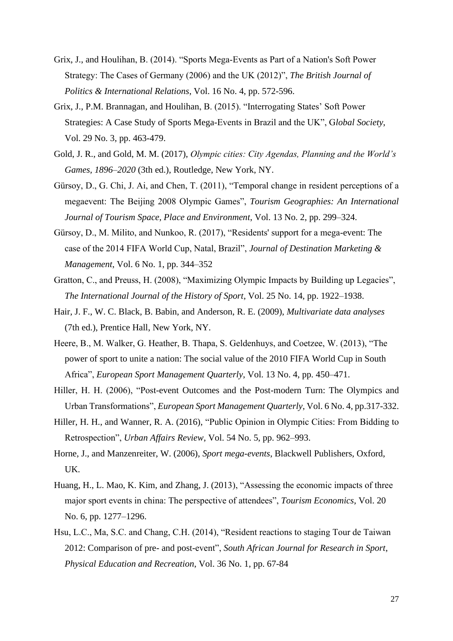- Grix, J., and Houlihan, B. (2014). "Sports Mega‐Events as Part of a Nation's Soft Power Strategy: The Cases of Germany (2006) and the UK (2012)", *The British Journal of Politics & International Relations*, Vol. 16 No. 4, pp. 572-596.
- Grix, J., P.M. Brannagan, and Houlihan, B. (2015). "Interrogating States' Soft Power Strategies: A Case Study of Sports Mega-Events in Brazil and the UK", G*lobal Society*, Vol. 29 No. 3, pp. 463-479.
- Gold, J. R., and Gold, M. M. (2017), *Olympic cities: City Agendas, Planning and the World's Games, 1896–2020* (3th ed.), Routledge, New York, NY.
- Gürsoy, D., G. Chi, J. Ai, and Chen, T. (2011), "Temporal change in resident perceptions of a megaevent: The Beijing 2008 Olympic Games", *Tourism Geographies: An International Journal of Tourism Space, Place and Environment*, Vol. 13 No. 2, pp. 299–324.
- Gürsoy, D., M. Milito, and Nunkoo, R. (2017), "Residents' support for a mega-event: The case of the 2014 FIFA World Cup, Natal, Brazil", *Journal of Destination Marketing & Management*, Vol. 6 No. 1, pp. 344–352
- Gratton, C., and Preuss, H. (2008), "Maximizing Olympic Impacts by Building up Legacies", *The International Journal of the History of Sport*, Vol. 25 No. 14, pp. 1922–1938.
- Hair, J. F., W. C. Black, B. Babin, and Anderson, R. E. (2009), *Multivariate data analyses* (7th ed.), Prentice Hall, New York, NY.
- Heere, B., M. Walker, G. Heather, B. Thapa, S. Geldenhuys, and Coetzee, W. (2013), "The power of sport to unite a nation: The social value of the 2010 FIFA World Cup in South Africa", *European Sport Management Quarterly*, Vol. 13 No. 4, pp. 450–471.
- Hiller, H. H. (2006), "Post-event Outcomes and the Post-modern Turn: The Olympics and Urban Transformations", *European Sport Management Quarterly*, Vol. 6 No. 4, pp.317-332.
- Hiller, H. H., and Wanner, R. A. (2016), "Public Opinion in Olympic Cities: From Bidding to Retrospection", *Urban Affairs Review*, Vol. 54 No. 5, pp. 962–993.
- Horne, J., and Manzenreiter, W. (2006), *Sport mega-events*, Blackwell Publishers, Oxford, UK.
- Huang, H., L. Mao, K. Kim, and Zhang, J. (2013), "Assessing the economic impacts of three major sport events in china: The perspective of attendees", *Tourism Economics*, Vol. 20 No. 6, pp. 1277–1296.
- Hsu, L.C., Ma, S.C. and Chang, C.H. (2014), "Resident reactions to staging Tour de Taiwan 2012: Comparison of pre- and post-event", *South African Journal for Research in Sport*, *Physical Education and Recreation*, Vol. 36 No. 1, pp. 67-84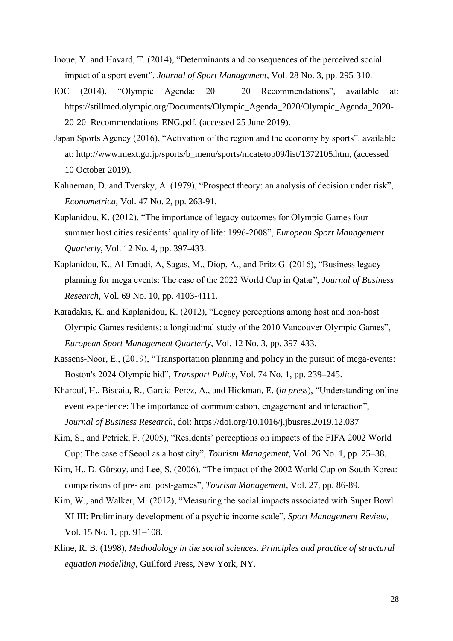- Inoue, Y. and Havard, T. (2014), "Determinants and consequences of the perceived social impact of a sport event", *Journal of Sport Management*, Vol. 28 No. 3, pp. 295-310.
- IOC (2014), "Olympic Agenda: 20 + 20 Recommendations", available at: https://stillmed.olympic.org/Documents/Olympic\_Agenda\_2020/Olympic\_Agenda\_2020- 20-20\_Recommendations-ENG.pdf, (accessed 25 June 2019).
- Japan Sports Agency (2016), "Activation of the region and the economy by sports". available at: http://www.mext.go.jp/sports/b\_menu/sports/mcatetop09/list/1372105.htm, (accessed 10 October 2019).
- Kahneman, D. and Tversky, A. (1979), "Prospect theory: an analysis of decision under risk", *Econometrica*, Vol. 47 No. 2, pp. 263-91.
- Kaplanidou, K. (2012), "The importance of legacy outcomes for Olympic Games four summer host cities residents' quality of life: 1996-2008", *European Sport Management Quarterly*, Vol. 12 No. 4, pp. 397-433.
- Kaplanidou, K., Al-Emadi, A, Sagas, M., Diop, A., and Fritz G. (2016), "Business legacy planning for mega events: The case of the 2022 World Cup in Qatar", *Journal of Business Research*, Vol. 69 No. 10, pp. 4103-4111.
- Karadakis, K. and Kaplanidou, K. (2012), "Legacy perceptions among host and non-host Olympic Games residents: a longitudinal study of the 2010 Vancouver Olympic Games", *European Sport Management Quarterly*, Vol. 12 No. 3, pp. 397-433.
- Kassens-Noor, E., (2019), "Transportation planning and policy in the pursuit of mega-events: Boston's 2024 Olympic bid", *Transport Policy*, Vol. 74 No. 1, pp. 239–245.
- Kharouf, H., Biscaia, R., Garcia-Perez, A., and Hickman, E. (*in press*), "Understanding online event experience: The importance of communication, engagement and interaction", *Journal of Business Research*, doi[:](https://doi.org/10.1016/j.jbusres.2019.12.037) <https://doi.org/10.1016/j.jbusres.2019.12.037>
- Kim, S., and Petrick, F. (2005), "Residents' perceptions on impacts of the FIFA 2002 World Cup: The case of Seoul as a host city", *Tourism Management*, Vol. 26 No. 1, pp. 25–38.
- Kim, H., D. Gürsoy, and Lee, S. (2006), "The impact of the 2002 World Cup on South Korea: comparisons of pre- and post-games", *Tourism Management*, Vol. 27, pp. 86-89.
- Kim, W., and Walker, M. (2012), "Measuring the social impacts associated with Super Bowl XLIII: Preliminary development of a psychic income scale", *Sport Management Review*, Vol. 15 No. 1, pp. 91–108.
- Kline, R. B. (1998), *Methodology in the social sciences. Principles and practice of structural equation modelling*, Guilford Press, New York, NY.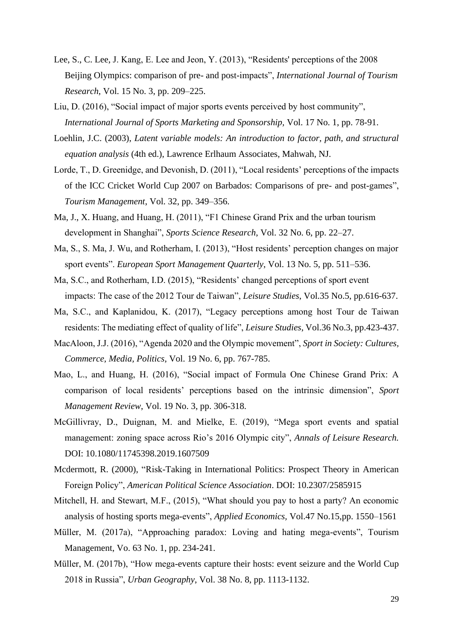- Lee, S., C. Lee, J. Kang, E. Lee and Jeon, Y. (2013), "Residents' perceptions of the 2008 Beijing Olympics: comparison of pre- and post-impacts", *International Journal of Tourism Research*, Vol. 15 No. 3, pp. 209–225.
- Liu, D. (2016), "Social impact of major sports events perceived by host community", *International Journal of Sports Marketing and Sponsorship,* Vol. 17 No. 1, pp. 78-91.
- Loehlin, J.C. (2003), *Latent variable models: An introduction to factor, path, and structural equation analysis* (4th ed.), Lawrence Erlhaum Associates, Mahwah, NJ.
- Lorde, T., D. Greenidge, and Devonish, D. (2011), "Local residents' perceptions of the impacts of the ICC Cricket World Cup 2007 on Barbados: Comparisons of pre- and post-games", *Tourism Management*, Vol. 32, pp. 349–356.
- Ma, J., X. Huang, and Huang, H. (2011), "F1 Chinese Grand Prix and the urban tourism development in Shanghai", *Sports Science Research*, Vol. 32 No. 6, pp. 22–27.
- Ma, S., S. Ma, J. Wu, and Rotherham, I. (2013), "Host residents' perception changes on major sport events". *European Sport Management Quarterly*, Vol. 13 No. 5, pp. 511–536.
- Ma, S.C., and Rotherham, I.D. (2015), "Residents' changed perceptions of sport event impacts: The case of the 2012 Tour de Taiwan", *Leisure Studies*, Vol.35 No.5, pp.616-637.
- Ma, S.C., and Kaplanidou, K. (2017), "Legacy perceptions among host Tour de Taiwan residents: The mediating effect of quality of life", *Leisure Studies*, Vol.36 No.3, pp.423-437.
- MacAloon, J.J. (2016), "Agenda 2020 and the Olympic movement", *Sport in Society: Cultures, Commerce, Media, Politics*, Vol. 19 No. 6, pp. 767-785.
- Mao, L., and Huang, H. (2016), "Social impact of Formula One Chinese Grand Prix: A comparison of local residents' perceptions based on the intrinsic dimension", *Sport Management Review*, Vol. 19 No. 3, pp. 306-318.
- McGillivray, D., Duignan, M. and Mielke, E. (2019), "Mega sport events and spatial management: zoning space across Rio's 2016 Olympic city", *Annals of Leisure Research.*  DOI: 10.1080/11745398.2019.1607509
- Mcdermott, R. (2000), "Risk-Taking in International Politics: Prospect Theory in American Foreign Policy", *American Political Science Association*. DOI: 10.2307/2585915
- Mitchell, H. and Stewart, M.F., (2015), "What should you pay to host a party? An economic analysis of hosting sports mega-events", *Applied Economics,* Vol.47 No.15,pp. 1550–1561
- Müller, M. (2017a), "Approaching paradox: Loving and hating mega-events", Tourism Management, Vo. 63 No. 1, pp. 234-241.
- Müller, M. (2017b), "How mega-events capture their hosts: event seizure and the World Cup 2018 in Russia", *Urban Geography*, Vol. 38 No. 8, pp. 1113-1132.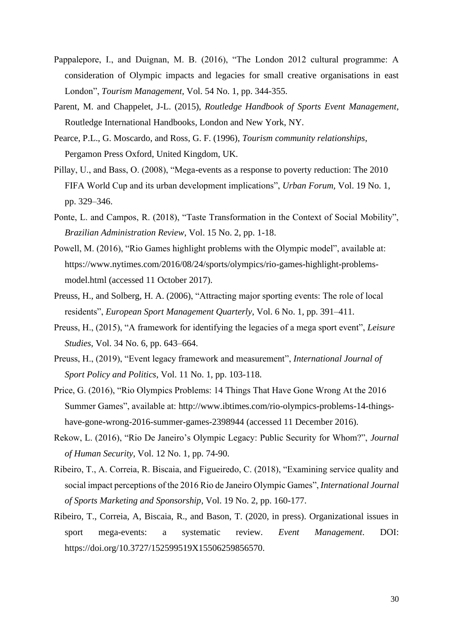- Pappalepore, I., and Duignan, M. B. (2016), "The London 2012 cultural programme: A consideration of Olympic impacts and legacies for small creative organisations in east London", *Tourism Management*, Vol. 54 No. 1, pp. 344-355.
- Parent, M. and Chappelet, J-L. (2015), *Routledge Handbook of Sports Event Management*, Routledge International Handbooks*,* London and New York, NY.
- Pearce, P.L., G. Moscardo, and Ross, G. F. (1996), *Tourism community relationships*, Pergamon Press Oxford, United Kingdom, UK.
- Pillay, U., and Bass, O. (2008), "Mega-events as a response to poverty reduction: The 2010 FIFA World Cup and its urban development implications", *Urban Forum,* Vol. 19 No. 1, pp. 329–346.
- Ponte, L. and Campos, R. (2018), "Taste Transformation in the Context of Social Mobility", *Brazilian Administration Review*, Vol. 15 No. 2, pp. 1-18.
- Powell, M. (2016), "Rio Games highlight problems with the Olympic model", available at: [https://www.nytimes.com/2016/08/24/sports/olympics/rio-games-highlight-problems](https://www.nytimes.com/2016/08/24/sports/olympics/rio-games-highlight-problems-model.html)[model.html](https://www.nytimes.com/2016/08/24/sports/olympics/rio-games-highlight-problems-model.html) (accessed 11 October 2017).
- Preuss, H., and Solberg, H. A. (2006), "Attracting major sporting events: The role of local residents", *European Sport Management Quarterly*, Vol. 6 No. 1, pp. 391–411.
- Preuss, H., (2015), "A framework for identifying the legacies of a mega sport event", *Leisure Studies*, Vol. 34 No. 6, pp. 643–664.
- Preuss, H., (2019), "Event legacy framework and measurement", *International Journal of Sport Policy and Politics*, Vol. 11 No. 1, pp. 103-118.
- Price, G. (2016), "Rio Olympics Problems: 14 Things That Have Gone Wrong At the 2016 Summer Games", available at: http://www.ibtimes.com/rio-olympics-problems-14-thingshave-gone-wrong-2016-summer-games-2398944 (accessed 11 December 2016).
- Rekow, L. (2016), "Rio De Janeiro's Olympic Legacy: Public Security for Whom?", *Journal of Human Security*, Vol. 12 No. 1, pp. 74-90.
- Ribeiro, T., A. Correia, R. Biscaia, and Figueiredo, C. (2018), "Examining service quality and social impact perceptions of the 2016 Rio de Janeiro Olympic Games", *International Journal of Sports Marketing and Sponsorship*, Vol. 19 No. 2, pp. 160-177.
- Ribeiro, T., Correia, A, Biscaia, R., and Bason, T. (2020, in press). Organizational issues in sport mega-events: a systematic review. *Event Management*. DOI: https://doi.org/10.3727/152599519X15506259856570.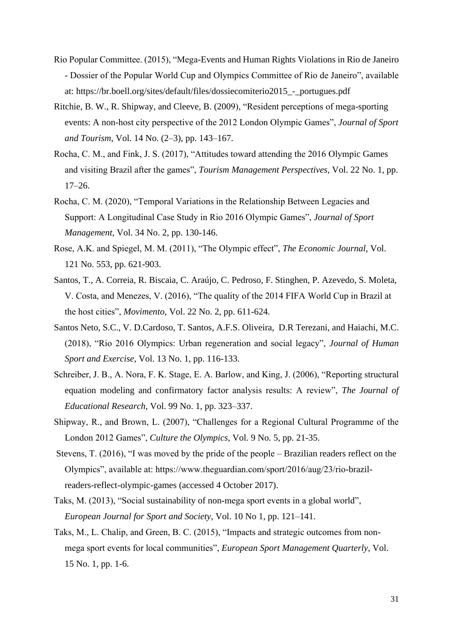- Rio Popular Committee. (2015), "Mega-Events and Human Rights Violations in Rio de Janeiro - Dossier of the Popular World Cup and Olympics Committee of Rio de Janeiro", available at: https://br.boell.org/sites/default/files/dossiecomiterio2015\_-\_portugues.pdf
- Ritchie, B. W., R. Shipway, and Cleeve, B. (2009), "Resident perceptions of mega-sporting events: A non-host city perspective of the 2012 London Olympic Games", *Journal of Sport and Tourism*, Vol. 14 No. (2–3), pp. 143–167.
- Rocha, C. M., and Fink, J. S. (2017), "Attitudes toward attending the 2016 Olympic Games and visiting Brazil after the games", *Tourism Management Perspectives,* Vol. 22 No. 1, pp. 17–26.
- Rocha, C. M. (2020), "Temporal Variations in the Relationship Between Legacies and Support: A Longitudinal Case Study in Rio 2016 Olympic Games", *Journal of Sport Management,* Vol. 34 No. 2, pp. 130-146.
- Rose, A.K. and Spiegel, M. M. (2011), "The Olympic effect", *The Economic Journal*, Vol. 121 No. 553, pp. 621-903.
- Santos, T., A. Correia, R. Biscaia, C. Araújo, C. Pedroso, F. Stinghen, P. Azevedo, S. Moleta, V. Costa, and Menezes, V. (2016), "The quality of the 2014 FIFA World Cup in Brazil at the host cities", *Movimento*, Vol. 22 No. 2, pp. 611-624.
- Santos Neto, S.C., V. D.Cardoso, T. Santos, A.F.S. Oliveira, D.R Terezani, and Haiachi, M.C. (2018), "Rio 2016 Olympics: Urban regeneration and social legacy", *Journal of Human Sport and Exercise*, Vol. 13 No. 1, pp. 116-133.
- Schreiber, J. B., A. Nora, F. K. Stage, E. A. Barlow, and King, J. (2006), "Reporting structural equation modeling and confirmatory factor analysis results: A review", *The Journal of Educational Research*, Vol. 99 No. 1, pp. 323–337.
- Shipway, R., and Brown, L. (2007), "Challenges for a Regional Cultural Programme of the London 2012 Games", *Culture the Olympics*, Vol. 9 No. 5, pp. 21-35.
- Stevens, T. (2016), "I was moved by the pride of the people Brazilian readers reflect on the Olympics", available at: https://www.theguardian.com/sport/2016/aug/23/rio-brazilreaders-reflect-olympic-games (accessed 4 October 2017).
- Taks, M. (2013), "Social sustainability of non-mega sport events in a global world", *European Journal for Sport and Society*, Vol. 10 No 1, pp. 121–141.
- Taks, M., L. Chalip, and Green, B. C. (2015), "Impacts and strategic outcomes from nonmega sport events for local communities", *European Sport Management Quarterly*, Vol. 15 No. 1, pp. 1-6.